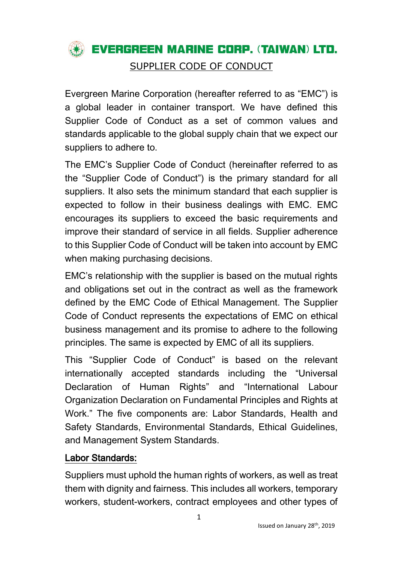

Evergreen Marine Corporation (hereafter referred to as "EMC") is a global leader in container transport. We have defined this Supplier Code of Conduct as a set of common values and standards applicable to the global supply chain that we expect our suppliers to adhere to.

The EMC's Supplier Code of Conduct (hereinafter referred to as the "Supplier Code of Conduct") is the primary standard for all suppliers. It also sets the minimum standard that each supplier is expected to follow in their business dealings with EMC. EMC encourages its suppliers to exceed the basic requirements and improve their standard of service in all fields. Supplier adherence to this Supplier Code of Conduct will be taken into account by EMC when making purchasing decisions.

EMC's relationship with the supplier is based on the mutual rights and obligations set out in the contract as well as the framework defined by the EMC Code of Ethical Management. The Supplier Code of Conduct represents the expectations of EMC on ethical business management and its promise to adhere to the following principles. The same is expected by EMC of all its suppliers.

This "Supplier Code of Conduct" is based on the relevant internationally accepted standards including the "Universal Declaration of Human Rights" and "International Labour Organization Declaration on Fundamental Principles and Rights at Work." The five components are: Labor Standards, Health and Safety Standards, Environmental Standards, Ethical Guidelines, and Management System Standards.

### Labor Standards:

Suppliers must uphold the human rights of workers, as well as treat them with dignity and fairness. This includes all workers, temporary workers, student-workers, contract employees and other types of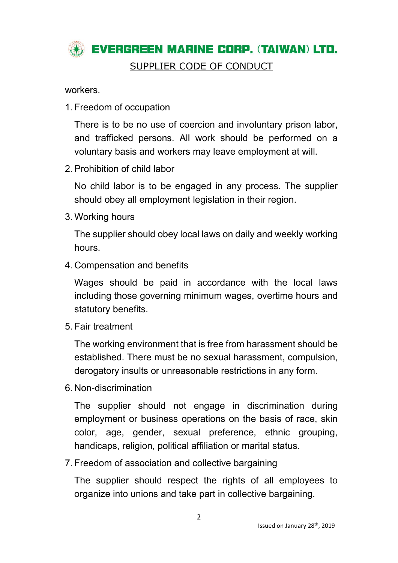

workers.

1. Freedom of occupation

There is to be no use of coercion and involuntary prison labor, and trafficked persons. All work should be performed on a voluntary basis and workers may leave employment at will.

2. Prohibition of child labor

No child labor is to be engaged in any process. The supplier should obey all employment legislation in their region.

3. Working hours

The supplier should obey local laws on daily and weekly working hours.

4. Compensation and benefits

Wages should be paid in accordance with the local laws including those governing minimum wages, overtime hours and statutory benefits.

5. Fair treatment

The working environment that is free from harassment should be established. There must be no sexual harassment, compulsion, derogatory insults or unreasonable restrictions in any form.

6. Non-discrimination

The supplier should not engage in discrimination during employment or business operations on the basis of race, skin color, age, gender, sexual preference, ethnic grouping, handicaps, religion, political affiliation or marital status.

7. Freedom of association and collective bargaining

The supplier should respect the rights of all employees to organize into unions and take part in collective bargaining.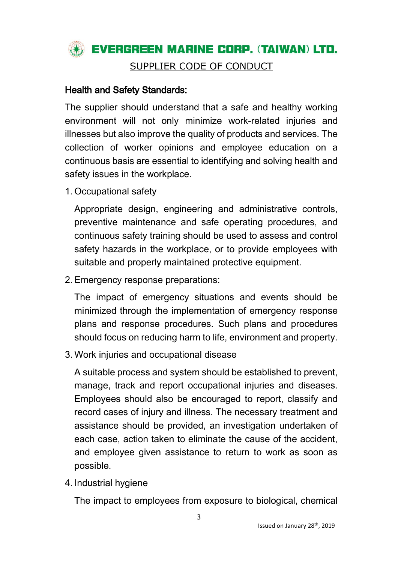

### Health and Safety Standards:

The supplier should understand that a safe and healthy working environment will not only minimize work-related injuries and illnesses but also improve the quality of products and services. The collection of worker opinions and employee education on a continuous basis are essential to identifying and solving health and safety issues in the workplace.

1. Occupational safety

Appropriate design, engineering and administrative controls, preventive maintenance and safe operating procedures, and continuous safety training should be used to assess and control safety hazards in the workplace, or to provide employees with suitable and properly maintained protective equipment.

2. Emergency response preparations:

The impact of emergency situations and events should be minimized through the implementation of emergency response plans and response procedures. Such plans and procedures should focus on reducing harm to life, environment and property.

3. Work injuries and occupational disease

A suitable process and system should be established to prevent, manage, track and report occupational injuries and diseases. Employees should also be encouraged to report, classify and record cases of injury and illness. The necessary treatment and assistance should be provided, an investigation undertaken of each case, action taken to eliminate the cause of the accident, and employee given assistance to return to work as soon as possible.

4. Industrial hygiene

The impact to employees from exposure to biological, chemical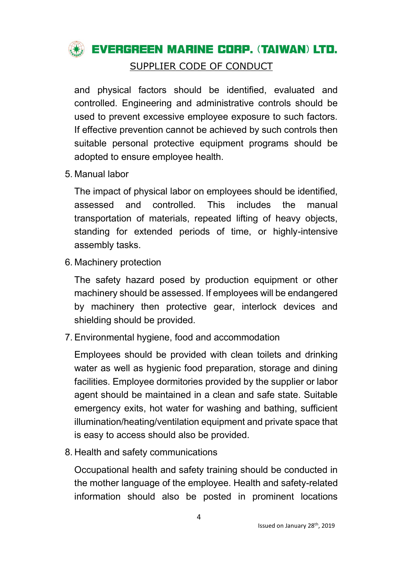

and physical factors should be identified, evaluated and controlled. Engineering and administrative controls should be used to prevent excessive employee exposure to such factors. If effective prevention cannot be achieved by such controls then suitable personal protective equipment programs should be adopted to ensure employee health.

5. Manual labor

The impact of physical labor on employees should be identified, assessed and controlled. This includes the manual transportation of materials, repeated lifting of heavy objects, standing for extended periods of time, or highly-intensive assembly tasks.

6. Machinery protection

The safety hazard posed by production equipment or other machinery should be assessed. If employees will be endangered by machinery then protective gear, interlock devices and shielding should be provided.

7. Environmental hygiene, food and accommodation

Employees should be provided with clean toilets and drinking water as well as hygienic food preparation, storage and dining facilities. Employee dormitories provided by the supplier or labor agent should be maintained in a clean and safe state. Suitable emergency exits, hot water for washing and bathing, sufficient illumination/heating/ventilation equipment and private space that is easy to access should also be provided.

8. Health and safety communications

Occupational health and safety training should be conducted in the mother language of the employee. Health and safety-related information should also be posted in prominent locations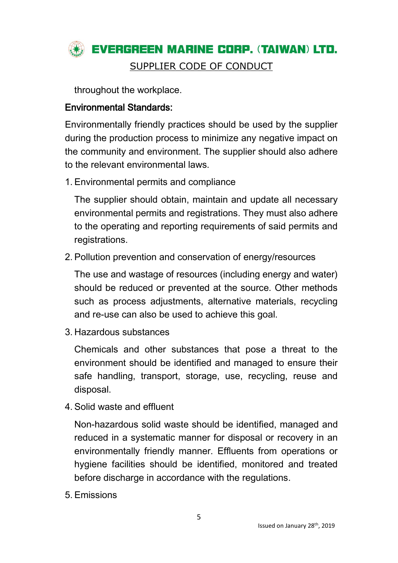

throughout the workplace.

### Environmental Standards:

Environmentally friendly practices should be used by the supplier during the production process to minimize any negative impact on the community and environment. The supplier should also adhere to the relevant environmental laws.

1. Environmental permits and compliance

The supplier should obtain, maintain and update all necessary environmental permits and registrations. They must also adhere to the operating and reporting requirements of said permits and registrations.

2. Pollution prevention and conservation of energy/resources

The use and wastage of resources (including energy and water) should be reduced or prevented at the source. Other methods such as process adjustments, alternative materials, recycling and re-use can also be used to achieve this goal.

3. Hazardous substances

Chemicals and other substances that pose a threat to the environment should be identified and managed to ensure their safe handling, transport, storage, use, recycling, reuse and disposal.

4. Solid waste and effluent

Non-hazardous solid waste should be identified, managed and reduced in a systematic manner for disposal or recovery in an environmentally friendly manner. Effluents from operations or hygiene facilities should be identified, monitored and treated before discharge in accordance with the regulations.

5. Emissions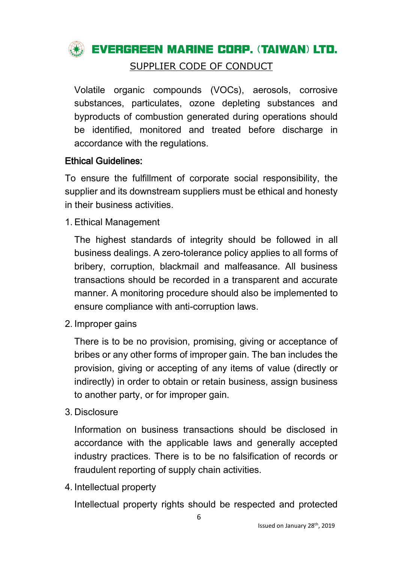

Volatile organic compounds (VOCs), aerosols, corrosive substances, particulates, ozone depleting substances and byproducts of combustion generated during operations should be identified, monitored and treated before discharge in accordance with the regulations.

## Ethical Guidelines:

To ensure the fulfillment of corporate social responsibility, the supplier and its downstream suppliers must be ethical and honesty in their business activities.

1. Ethical Management

The highest standards of integrity should be followed in all business dealings. A zero-tolerance policy applies to all forms of bribery, corruption, blackmail and malfeasance. All business transactions should be recorded in a transparent and accurate manner. A monitoring procedure should also be implemented to ensure compliance with anti-corruption laws.

2. Improper gains

There is to be no provision, promising, giving or acceptance of bribes or any other forms of improper gain. The ban includes the provision, giving or accepting of any items of value (directly or indirectly) in order to obtain or retain business, assign business to another party, or for improper gain.

3. Disclosure

Information on business transactions should be disclosed in accordance with the applicable laws and generally accepted industry practices. There is to be no falsification of records or fraudulent reporting of supply chain activities.

4. Intellectual property

Intellectual property rights should be respected and protected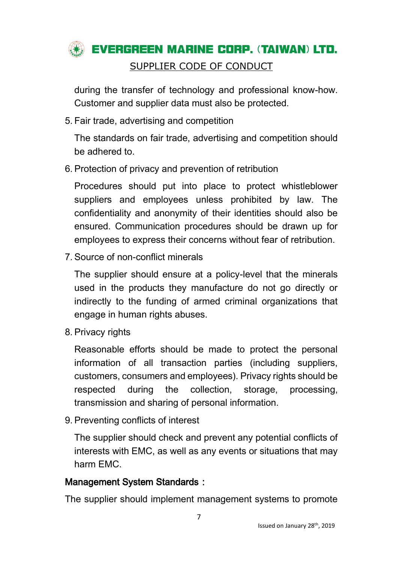

during the transfer of technology and professional know-how. Customer and supplier data must also be protected.

5. Fair trade, advertising and competition

The standards on fair trade, advertising and competition should be adhered to.

6. Protection of privacy and prevention of retribution

Procedures should put into place to protect whistleblower suppliers and employees unless prohibited by law. The confidentiality and anonymity of their identities should also be ensured. Communication procedures should be drawn up for employees to express their concerns without fear of retribution.

7. Source of non-conflict minerals

The supplier should ensure at a policy-level that the minerals used in the products they manufacture do not go directly or indirectly to the funding of armed criminal organizations that engage in human rights abuses.

8. Privacy rights

Reasonable efforts should be made to protect the personal information of all transaction parties (including suppliers, customers, consumers and employees). Privacy rights should be respected during the collection, storage, processing, transmission and sharing of personal information.

9. Preventing conflicts of interest

The supplier should check and prevent any potential conflicts of interests with EMC, as well as any events or situations that may harm EMC.

## Management System Standards:

The supplier should implement management systems to promote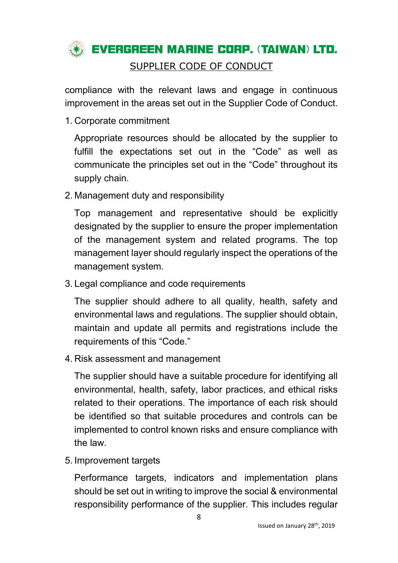# **WE EVERGREEN MARINE CORP. (TAIWAN) LTD.** SUPPLIER CODE OF CONDUCT

compliance with the relevant laws and engage in continuous improvement in the areas set out in the Supplier Code of Conduct.

1. Corporate commitment

Appropriate resources should be allocated by the supplier to fulfill the expectations set out in the "Code" as well as communicate the principles set out in the "Code" throughout its supply chain.

2. Management duty and responsibility

Top management and representative should be explicitly designated by the supplier to ensure the proper implementation of the management system and related programs. The top management layer should regularly inspect the operations of the management system.

3. Legal compliance and code requirements

The supplier should adhere to all quality, health, safety and environmental laws and regulations. The supplier should obtain, maintain and update all permits and registrations include the requirements of this "Code."

4. Risk assessment and management

The supplier should have a suitable procedure for identifying all environmental, health, safety, labor practices, and ethical risks related to their operations. The importance of each risk should be identified so that suitable procedures and controls can be implemented to control known risks and ensure compliance with the law.

5. Improvement targets

Performance targets, indicators and implementation plans should be set out in writing to improve the social & environmental responsibility performance of the supplier. This includes regular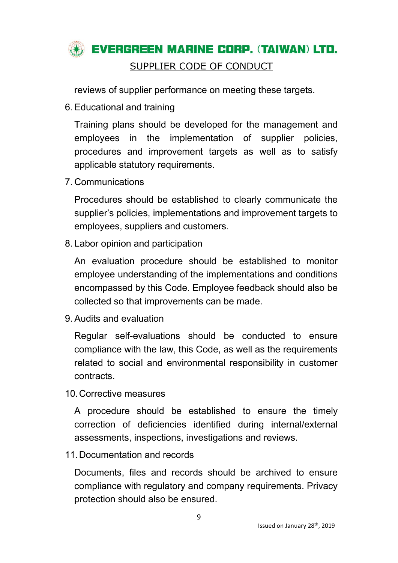## **EVERGREEN MARINE CORP. (TAIWAN) LTD.** SUPPLIER CODE OF CONDUCT

reviews of supplier performance on meeting these targets.

6. Educational and training

Training plans should be developed for the management and employees in the implementation of supplier policies, procedures and improvement targets as well as to satisfy applicable statutory requirements.

7. Communications

Procedures should be established to clearly communicate the supplier's policies, implementations and improvement targets to employees, suppliers and customers.

8. Labor opinion and participation

An evaluation procedure should be established to monitor employee understanding of the implementations and conditions encompassed by this Code. Employee feedback should also be collected so that improvements can be made.

9. Audits and evaluation

Regular self-evaluations should be conducted to ensure compliance with the law, this Code, as well as the requirements related to social and environmental responsibility in customer contracts.

10.Corrective measures

A procedure should be established to ensure the timely correction of deficiencies identified during internal/external assessments, inspections, investigations and reviews.

11.Documentation and records

Documents, files and records should be archived to ensure compliance with regulatory and company requirements. Privacy protection should also be ensured.